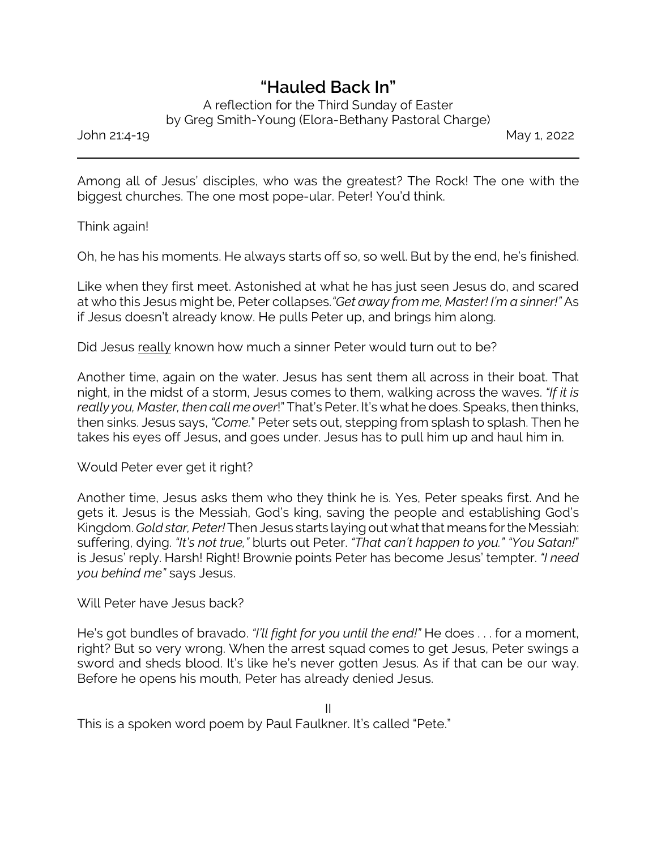## *"Hauled Back In"*

A reflection for the Third Sunday of Easter by Greg Smith-Young (Elora-Bethany Pastoral Charge)

John 21:4-19 May 1, 2022

Among all of Jesus' disciples, who was the greatest? The Rock! The one with the biggest churches. The one most pope-ular. Peter! You'd think.

Think again!

Oh, he has his moments. He always starts off so, so well. But by the end, he's finished.

Like when they first meet. Astonished at what he has just seen Jesus do, and scared at who this Jesus might be, Peter collapses.*"Get away from me, Master! I'm a sinner!"* As if Jesus doesn't already know. He pulls Peter up, and brings him along.

Did Jesus really known how much a sinner Peter would turn out to be?

Another time, again on the water. Jesus has sent them all across in their boat. That night, in the midst of a storm, Jesus comes to them, walking across the waves. *"If it is really you, Master, then call me over*!" That's Peter. It's what he does. Speaks, then thinks, then sinks. Jesus says, *"Come.*" Peter sets out, stepping from splash to splash. Then he takes his eyes off Jesus, and goes under. Jesus has to pull him up and haul him in.

Would Peter ever get it right?

Another time, Jesus asks them who they think he is. Yes, Peter speaks first. And he gets it. Jesus is the Messiah, God's king, saving the people and establishing God's Kingdom. *Gold star, Peter!* Then Jesus starts laying out what that means for the Messiah: suffering, dying. *"It's not true,"* blurts out Peter. *"That can't happen to you." "You Satan!*" is Jesus' reply. Harsh! Right! Brownie points Peter has become Jesus' tempter. *"I need you behind me"* says Jesus.

Will Peter have Jesus back?

He's got bundles of bravado. *"I'll fight for you until the end!"* He does . . . for a moment, right? But so very wrong. When the arrest squad comes to get Jesus, Peter swings a sword and sheds blood. It's like he's never gotten Jesus. As if that can be our way. Before he opens his mouth, Peter has already denied Jesus.

This is a spoken word poem by Paul Faulkner. It's called "Pete."

II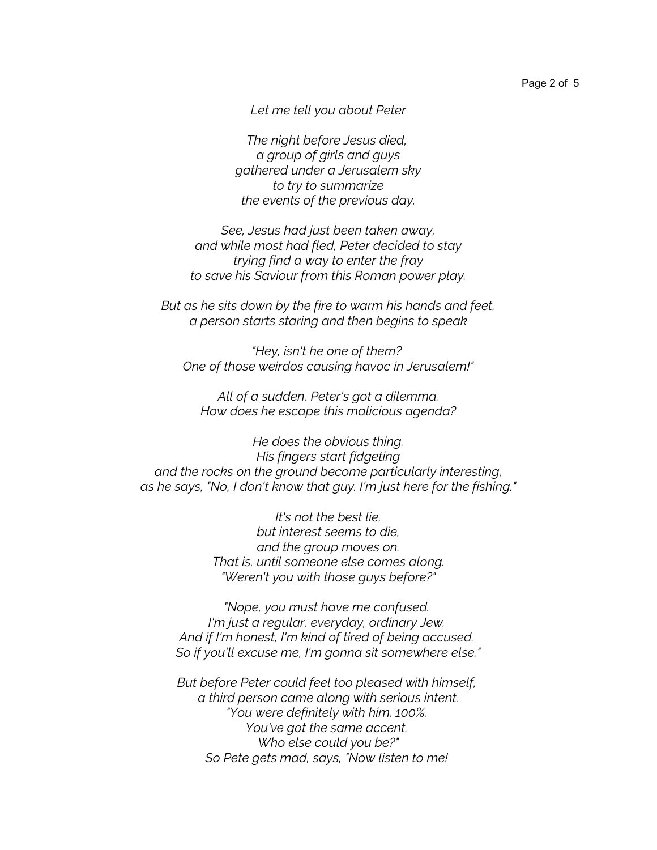*Let me tell you about Peter*

*The night before Jesus died, a group of girls and guys gathered under a Jerusalem sky to try to summarize the events of the previous day.*

*See, Jesus had just been taken away, and while most had fled, Peter decided to stay trying find a way to enter the fray to save his Saviour from this Roman power play.*

*But as he sits down by the fire to warm his hands and feet, a person starts staring and then begins to speak*

*"Hey, isn't he one of them? One of those weirdos causing havoc in Jerusalem!"*

*All of a sudden, Peter's got a dilemma. How does he escape this malicious agenda?*

*He does the obvious thing. His fingers start fidgeting and the rocks on the ground become particularly interesting, as he says, "No, I don't know that guy. I'm just here for the fishing."*

> *It's not the best lie, but interest seems to die, and the group moves on. That is, until someone else comes along. "Weren't you with those guys before?"*

*"Nope, you must have me confused. I'm just a regular, everyday, ordinary Jew. And if I'm honest, I'm kind of tired of being accused. So if you'll excuse me, I'm gonna sit somewhere else."*

*But before Peter could feel too pleased with himself, a third person came along with serious intent. "You were definitely with him. 100%. You've got the same accent. Who else could you be?" So Pete gets mad, says, "Now listen to me!*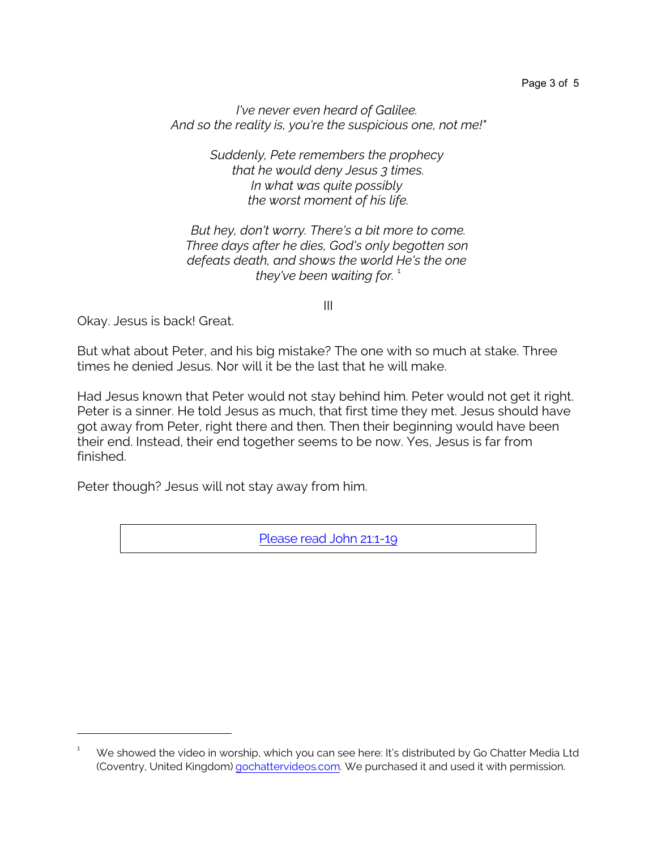*I've never even heard of Galilee. And so the reality is, you're the suspicious one, not me!"*

> *Suddenly, Pete remembers the prophecy that he would deny Jesus 3 times. In what was quite possibly the worst moment of his life.*

*But hey, don't worry. There's a bit more to come. Three days after he dies, God's only begotten son defeats death, and shows the world He's the one they've been waiting for.*  $\frac{1}{1}$ 

III

Okay. Jesus is back! Great.

But what about Peter, and his big mistake? The one with so much at stake. Three times he denied Jesus. Nor will it be the last that he will make.

Had Jesus known that Peter would not stay behind him. Peter would not get it right. Peter is a sinner. He told Jesus as much, that first time they met. Jesus should have got away from Peter, right there and then. Then their beginning would have been their end. Instead, their end together seems to be now. Yes, Jesus is far from finished.

Peter though? Jesus will not stay away from him.

[Please](https://www.biblegateway.com/passage/?search=John+21%3A1-19&version=NIV) read John 21:1-19

 $1 - W$ e showed the video in worship, which you can see here: It's distributed by Go Chatter Media Ltd (Coventry, United Kingdom) [gochattervideos.com](https://gochattervideos.com/). We purchased it and used it with permission.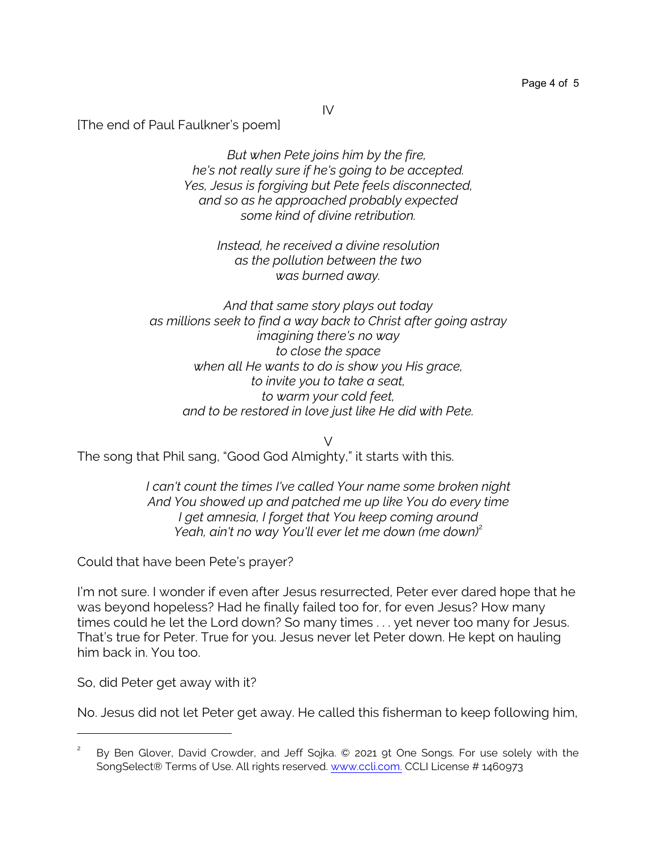IV

[The end of Paul Faulkner's poem]

*But when Pete joins him by the fire, he's not really sure if he's going to be accepted. Yes, Jesus is forgiving but Pete feels disconnected, and so as he approached probably expected some kind of divine retribution.*

> *Instead, he received a divine resolution as the pollution between the two was burned away.*

*And that same story plays out today as millions seek to find a way back to Christ after going astray imagining there's no way to close the space when all He wants to do is show you His grace, to invite you to take a seat, to warm your cold feet, and to be restored in love just like He did with Pete.*

The song that Phil sang, "Good God Almighty," it starts with this.

*I can't count the times I've called Your name some broken night And You showed up and patched me up like You do every time I get amnesia, I forget that You keep coming around Yeah, ain't no way You'll ever let me down (me down)<sup>2</sup>* 

 $\vee$ 

Could that have been Pete's prayer?

I'm not sure. I wonder if even after Jesus resurrected, Peter ever dared hope that he was beyond hopeless? Had he finally failed too for, for even Jesus? How many times could he let the Lord down? So many times . . . yet never too many for Jesus. That's true for Peter. True for you. Jesus never let Peter down. He kept on hauling him back in. You too.

So, did Peter get away with it?

No. Jesus did not let Peter get away. He called this fisherman to keep following him,

<sup>2</sup> By Ben Glover, David Crowder, and Jeff Sojka. © 2021 9t One Songs. For use solely with the SongSelect® Terms of Use. All rights reserved. [www.ccli.com.](http://www.ccli.com) CCLI License # 1460973